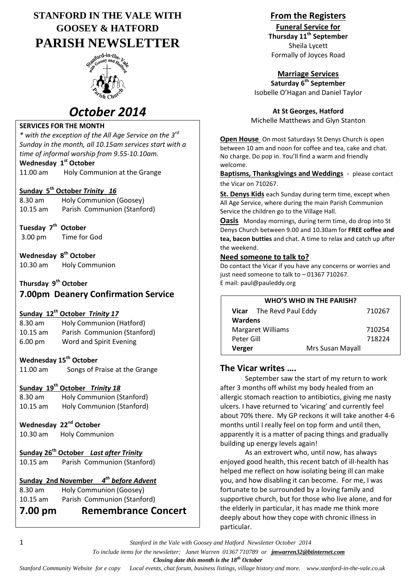# **STANFORD IN THE VALE WITH GOOSEY & HATFORD PARISH NEWSLETTER**



# *October 2014*

## **SERVICES FOR THE MONTH**

*\* with the exception of the All Age Service on the 3rd Sunday in the month, all 10.15am services start with a time of informal worship from 9.55-10.10am.*

## **Wednesday 1 st October**

11.00 am Holy Communion at the Grange

## **Sunday 5th October** *Trinity 16*

| 8.30 am    | Holy Communion (Goosey)     |
|------------|-----------------------------|
| $10.15$ am | Parish Communion (Stanford) |

**Tuesday 7 th October**

3.00 pm Time for God

**Wednesday 8 th October** 10.30 am Holy Communion

# **Thursday 9th October**

# **7.00pm Deanery Confirmation Service**

## **Sunday 12th October** *Trinity 17*

| $8.30$ am         | Holy Communion (Hatford)    |
|-------------------|-----------------------------|
| $10.15$ am        | Parish Communion (Stanford) |
| $6.00 \text{ pm}$ | Word and Spirit Evening     |

## **Wednesday 15th October**

11.00 am Songs of Praise at the Grange

## **Sunday 19th October** *Trinity 18*

| 8.30 am    | Holy Communion (Stanford) |
|------------|---------------------------|
| $10.15$ am | Holy Communion (Stanford) |

## Wednesday 22<sup>nd</sup> October

10.30 am Holy Communion

# **Sunday 26th October** *Last after Trinity*

10.15 am Parish Communion (Stanford)

# **Sunday 2nd November** *4 th before Advent*

8.30 am Holy Communion (Goosey) 10.15 am Parish Communion (Stanford)

# **7.00 pm Remembrance Concert**

# **From the Registers**

**Funeral Service for**

**Thursday 11th September** Sheila Lycett Formally of Joyces Road

# **Marriage Services**

**Saturday 6th September** Isobelle O'Hagan and Daniel Taylor

**At St Georges, Hatford** Michelle Matthews and Glyn Stanton

**Open House** On most Saturdays St Denys Church is open between 10 am and noon for coffee and tea, cake and chat. No charge. Do pop in. You'll find a warm and friendly welcome.

**Baptisms, Thanksgivings and Weddings** - please contact the Vicar on 710267.

**St. Denys Kids** each Sunday during term time, except when All Age Service, where during the main Parish Communion Service the children go to the Village Hall.

**Oasis** Monday mornings, during term time, do drop into St Denys Church between 9.00 and 10.30am for **FREE coffee and tea, bacon butties** and chat. A time to relax and catch up after the weekend.

### **Need someone to talk to?**

Do contact the Vicar if you have any concerns or worries and just need someone to talk to – 01367 710267. E mail: paul@pauleddy.org

| WHO'S WHO IN THE PARISH? |                          |        |  |  |
|--------------------------|--------------------------|--------|--|--|
|                          | Vicar The Revd Paul Eddy | 710267 |  |  |
| <b>Wardens</b>           |                          |        |  |  |
| <b>Margaret Williams</b> |                          | 710254 |  |  |
| Peter Gill               |                          | 718224 |  |  |
| Verger                   | Mrs Susan Mayall         |        |  |  |

## **The Vicar writes ….**

September saw the start of my return to work after 3 months off whilst my body healed from an allergic stomach reaction to antibiotics, giving me nasty ulcers. I have returned to 'vicaring' and currently feel about 70% there. My GP reckons it will take another 4-6 months until I really feel on top form and until then, apparently it is a matter of pacing things and gradually building up energy levels again!

As an extrovert who, until now, has always enjoyed good health, this recent batch of ill-health has helped me reflect on how isolating being ill can make you, and how disabling it can become. For me, I was fortunate to be surrounded by a loving family and supportive church, but for those who live alone, and for the elderly in particular, it has made me think more deeply about how they cope with chronic illness in particular.

1 *Stanford in the Vale with Goosey and Hatford Newsletter October 2014*

 *To include items for the newsletter; Janet Warren 01367 710789 or jmwarren32@btinternet.com*

 *Closing date this month is the 18th October*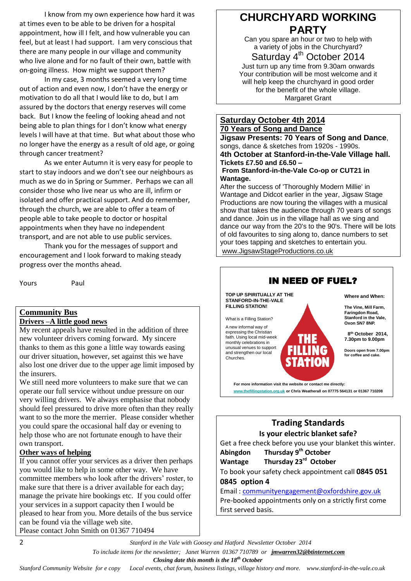I know from my own experience how hard it was at times even to be able to be driven for a hospital appointment, how ill I felt, and how vulnerable you can feel, but at least I had support. I am very conscious that there are many people in our village and community who live alone and for no fault of their own, battle with on-going illness. How might we support them?

In my case, 3 months seemed a very long time out of action and even now, I don't have the energy or motivation to do all that I would like to do, but I am assured by the doctors that energy reserves will come back. But I know the feeling of looking ahead and not being able to plan things for I don't know what energy levels I will have at that time. But what about those who no longer have the energy as a result of old age, or going through cancer treatment?

As we enter Autumn it is very easy for people to start to stay indoors and we don't see our neighbours as much as we do in Spring or Summer. Perhaps we can all consider those who live near us who are ill, infirm or isolated and offer practical support. And do remember, through the church, we are able to offer a team of people able to take people to doctor or hospital appointments when they have no independent transport, and are not able to use public services.

Thank you for the messages of support and encouragement and I look forward to making steady progress over the months ahead.

Yours Paul

#### **Community Bus Drivers –A little good news**

My recent appeals have resulted in the addition of three new volunteer drivers coming forward. My sincere thanks to them as this gone a little way towards easing our driver situation, however, set against this we have also lost one driver due to the upper age limit imposed by the insurers.

We still need more volunteers to make sure that we can operate our full service without undue pressure on our very willing drivers. We always emphasise that nobody should feel pressured to drive more often than they really want to so the more the merrier. Please consider whether you could spare the occasional half day or evening to help those who are not fortunate enough to have their own transport.

### **Other ways of helping**

If you cannot offer your services as a driver then perhaps you would like to help in some other way. We have committee members who look after the drivers' roster, to make sure that there is a driver available for each day; manage the private hire bookings etc. If you could offer your services in a support capacity then I would be pleased to hear from you. More details of the bus service can be found via the village web site. Please contact John Smith on 01367 710494

# **CHURCHYARD WORKING PARTY**

Can you spare an hour or two to help with a variety of jobs in the Churchyard?

Saturday 4<sup>th</sup> October 2014

Just turn up any time from 9.30am onwards Your contribution will be most welcome and it will help keep the churchyard in good order for the benefit of the whole village. Margaret Grant

#### **Saturday October 4th 2014 70 Years of Song and Dance**

**Jigsaw Presents: 70 Years of Song and Dance**, songs, dance & sketches from 1920s - 1990s. **4th October at Stanford-in-the-Vale Village hall. Tickets £7.50 and £6.50 – From Stanford-in-the-Vale Co-op or CUT21 in** 

# **Wantage.**

After the success of 'Thoroughly Modern Millie' in Wantage and Didcot earlier in the year, Jigsaw Stage Productions are now touring the villages with a musical show that takes the audience through 70 years of songs and dance. Join us in the village hall as we sing and dance our way from the 20's to the 90's. There will be lots of old favourites to sing along to, dance numbers to set your toes tapping and sketches to entertain you. [www.JigsawStageProductions.co.uk](http://www.jigsawstageproductions.co.uk/)



## **Trading Standards Is your electric blanket safe?**

Get a free check before you use your blanket this winter. **Abingdon Thursday 9th October** Wantage Thursday 23<sup>rd</sup> October To book your safety check appointment call **0845 051 0845 option 4** Email : [communityengagement@oxfordshire.gov.uk](mailto:communityengagement@oxfordshire.gov.uk)

Pre-booked appointments only on a strictly first come first served basis.

 *To include items for the newsletter; Janet Warren 01367 710789 or jmwarren32@btinternet.com*

 *Closing date this month is the 18th October*

*Stanford Community Website for e copy Local events, chat forum, business listings, village history and more. www.stanford-in-the-vale.co.uk*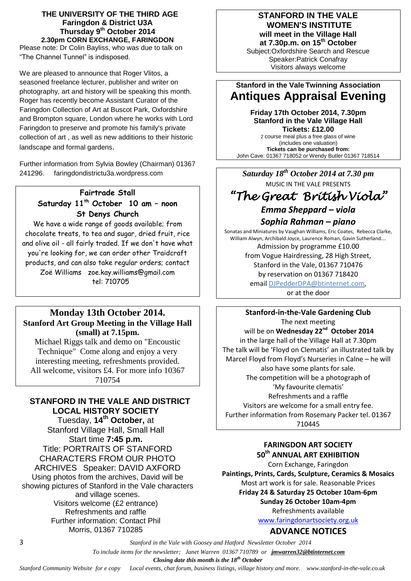#### **THE UNIVERSITY OF THE THIRD AGE Faringdon & District U3A Thursday 9 th October 2014 2.30pm CORN EXCHANGE, FARINGDON**

Please note: Dr Colin Bayliss, who was due to talk on "The Channel Tunnel" is indisposed.

We are pleased to announce that Roger Vlitos, a seasoned freelance lecturer, publisher and writer on photography, art and history will be speaking this month. Roger has recently become Assistant Curator of the Faringdon Collection of Art at Buscot Park, Oxfordshire and Brompton square, London where he works with Lord Faringdon to preserve and promote his family's private collection of art , as well as new additions to their historic landscape and formal gardens.

Further information from Sylvia Bowley (Chairman) 01367 241296. faringdondistrictu3a.wordpress.com

# **Fairtrade Stall Saturday 11th October 10 am – noon St Denys Church**

We have a wide range of goods available; from chocolate treats, to tea and sugar, dried fruit, rice and olive oil - all fairly traded. If we don't have what you're looking for, we can order other Traidcraft products, and can also take regular orders; contact Zoë Williams [zoe.kay.williams@gmail.com](mailto:zoe.kay.williams@gmail.com) tel: 710705

## **Monday 13th October 2014. Stanford Art Group Meeting in the Village Hall (small) at 7.15pm.**

Michael Riggs talk and demo on "Encoustic Technique" Come along and enjoy a very interesting meeting, refreshments provided. All welcome, visitors £4. For more info 10367 710754

# **STANFORD IN THE VALE AND DISTRICT LOCAL HISTORY SOCIETY**

Tuesday, **14th October,** at Stanford Village Hall, Small Hall Start time **7:45 p.m.** Title: PORTRAITS OF STANFORD CHARACTERS FROM OUR PHOTO ARCHIVES Speaker: DAVID AXFORD Using photos from the archives, David will be showing pictures of Stanford in the Vale characters and village scenes. Visitors welcome (£2 entrance) Refreshments and raffle Further information: Contact Phil Morris, 01367 710285

## **STANFORD IN THE VALE WOMEN'S INSTITUTE will meet in the Village Hall**

**at 7.30p.m. on 15 th October** Subject:Oxfordshire Search and Rescue Speaker:Patrick Conafray Visitors always welcome

# **Stanford in the Vale Twinning Association Antiques Appraisal Evening**

**Friday 17th October 2014, 7.30pm Stanford in the Vale Village Hall Tickets: £12.00** 2 course meal plus a free glass of wine

(includes one valuation) **Tickets can be purchased from:** John Cave: 01367 718052 or Wendy Butler 01367 718514

*Saturday 18th October 2014 at 7.30 pm* MUSIC IN THE VALE PRESENTS

# *"The Great British Viola" Emma Sheppard – viola*

*Sophia Rahman – piano*

Sonatas and Miniatures by Vaughan Williams, Eric Coates, Rebecca Clarke, William Alwyn, Archibald Joyce, Laurence Roman, Gavin Sutherland…. Admission by programme £10.00 from Vogue Hairdressing, 28 High Street, Stanford in the Vale, 01367 710476 by reservation on 01367 718420 email [DJPedderDPA@btinternet.com,](mailto:DJPedderDPA@btinternet.com) or at the door

**Stanford-in-the-Vale Gardening Club** The next meeting will be on Wednesday 22<sup>nd</sup> October 2014 in the large hall of the Village Hall at 7.30pm The talk will be 'Floyd on Clematis' an illustrated talk by Marcel Floyd from Floyd's Nurseries in Calne – he will also have some plants for sale. The competition will be a photograph of 'My favourite clematis' Refreshments and a raffle Visitors are welcome for a small entry fee. Further information from Rosemary Packer tel. 01367 710445

## **FARINGDON ART SOCIETY 50th ANNUAL ART EXHIBITION**

Corn Exchange, Faringdon **Paintings, Prints, Cards, Sculpture, Ceramics & Mosaics** Most art work is for sale. Reasonable Prices **Friday 24 & Saturday 25 October 10am-6pm Sunday 26 October 10am-4pm** Refreshments available

[www.faringdonartsociety.org.uk](http://www.faringdonartsociety.org.uk/)

# **ADVANCE NOTICES**

3 *Stanford in the Vale with Goosey and Hatford Newsletter October 2014*

 *To include items for the newsletter; Janet Warren 01367 710789 or jmwarren32@btinternet.com*

 *Closing date this month is the 18th October*

*Stanford Community Website for e copy Local events, chat forum, business listings, village history and more. www.stanford-in-the-vale.co.uk*